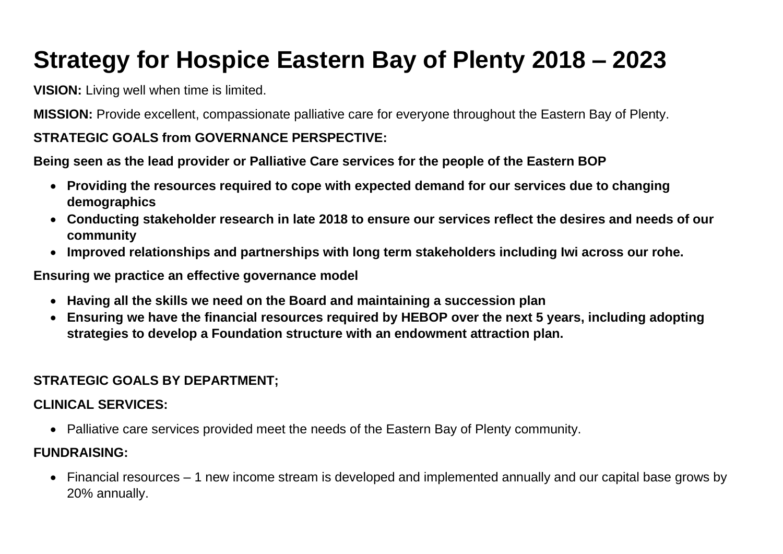# **Strategy for Hospice Eastern Bay of Plenty 2018 – 2023**

**VISION:** Living well when time is limited.

**MISSION:** Provide excellent, compassionate palliative care for everyone throughout the Eastern Bay of Plenty.

# **STRATEGIC GOALS from GOVERNANCE PERSPECTIVE:**

**Being seen as the lead provider or Palliative Care services for the people of the Eastern BOP**

- **Providing the resources required to cope with expected demand for our services due to changing demographics**
- **Conducting stakeholder research in late 2018 to ensure our services reflect the desires and needs of our community**
- **Improved relationships and partnerships with long term stakeholders including Iwi across our rohe.**

**Ensuring we practice an effective governance model**

- **Having all the skills we need on the Board and maintaining a succession plan**
- **Ensuring we have the financial resources required by HEBOP over the next 5 years, including adopting strategies to develop a Foundation structure with an endowment attraction plan.**

# **STRATEGIC GOALS BY DEPARTMENT;**

## **CLINICAL SERVICES:**

• Palliative care services provided meet the needs of the Eastern Bay of Plenty community.

#### **FUNDRAISING:**

• Financial resources – 1 new income stream is developed and implemented annually and our capital base grows by 20% annually.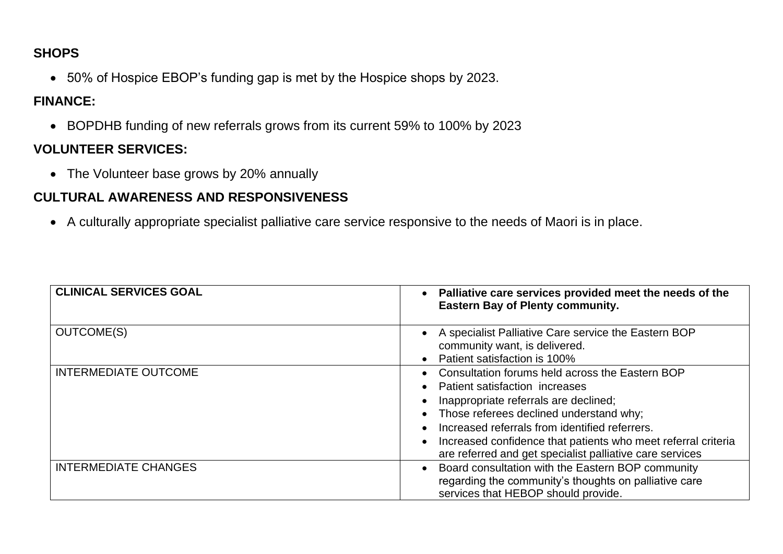## **SHOPS**

• 50% of Hospice EBOP's funding gap is met by the Hospice shops by 2023.

## **FINANCE:**

• BOPDHB funding of new referrals grows from its current 59% to 100% by 2023

# **VOLUNTEER SERVICES:**

• The Volunteer base grows by 20% annually

# **CULTURAL AWARENESS AND RESPONSIVENESS**

• A culturally appropriate specialist palliative care service responsive to the needs of Maori is in place.

| <b>CLINICAL SERVICES GOAL</b> | Palliative care services provided meet the needs of the<br><b>Eastern Bay of Plenty community.</b>                                                                                                                                                                                                                                                   |
|-------------------------------|------------------------------------------------------------------------------------------------------------------------------------------------------------------------------------------------------------------------------------------------------------------------------------------------------------------------------------------------------|
| <b>OUTCOME(S)</b>             | A specialist Palliative Care service the Eastern BOP<br>community want, is delivered.<br>Patient satisfaction is 100%                                                                                                                                                                                                                                |
| <b>INTERMEDIATE OUTCOME</b>   | Consultation forums held across the Eastern BOP<br>Patient satisfaction increases<br>Inappropriate referrals are declined;<br>Those referees declined understand why;<br>Increased referrals from identified referrers.<br>Increased confidence that patients who meet referral criteria<br>are referred and get specialist palliative care services |
| <b>INTERMEDIATE CHANGES</b>   | Board consultation with the Eastern BOP community<br>regarding the community's thoughts on palliative care<br>services that HEBOP should provide.                                                                                                                                                                                                    |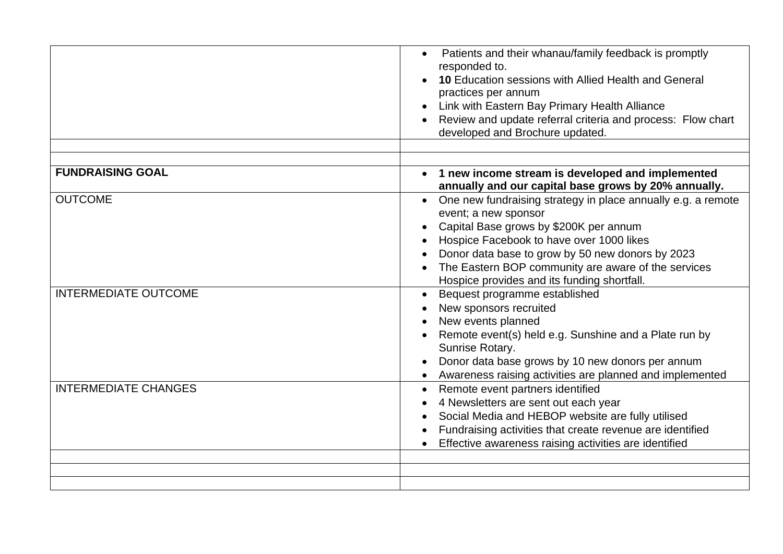|                             | Patients and their whanau/family feedback is promptly<br>responded to.<br><b>10 Education sessions with Allied Health and General</b><br>practices per annum<br>Link with Eastern Bay Primary Health Alliance<br>Review and update referral criteria and process: Flow chart<br>developed and Brochure updated.                                   |
|-----------------------------|---------------------------------------------------------------------------------------------------------------------------------------------------------------------------------------------------------------------------------------------------------------------------------------------------------------------------------------------------|
|                             |                                                                                                                                                                                                                                                                                                                                                   |
| <b>FUNDRAISING GOAL</b>     | • 1 new income stream is developed and implemented<br>annually and our capital base grows by 20% annually.                                                                                                                                                                                                                                        |
| <b>OUTCOME</b>              | One new fundraising strategy in place annually e.g. a remote<br>$\bullet$<br>event; a new sponsor<br>Capital Base grows by \$200K per annum<br>Hospice Facebook to have over 1000 likes<br>Donor data base to grow by 50 new donors by 2023<br>The Eastern BOP community are aware of the services<br>Hospice provides and its funding shortfall. |
| <b>INTERMEDIATE OUTCOME</b> | Bequest programme established<br>$\bullet$<br>New sponsors recruited<br>New events planned<br>Remote event(s) held e.g. Sunshine and a Plate run by<br>Sunrise Rotary.<br>Donor data base grows by 10 new donors per annum<br>Awareness raising activities are planned and implemented                                                            |
| <b>INTERMEDIATE CHANGES</b> | Remote event partners identified<br>4 Newsletters are sent out each year<br>Social Media and HEBOP website are fully utilised<br>Fundraising activities that create revenue are identified<br>Effective awareness raising activities are identified                                                                                               |
|                             |                                                                                                                                                                                                                                                                                                                                                   |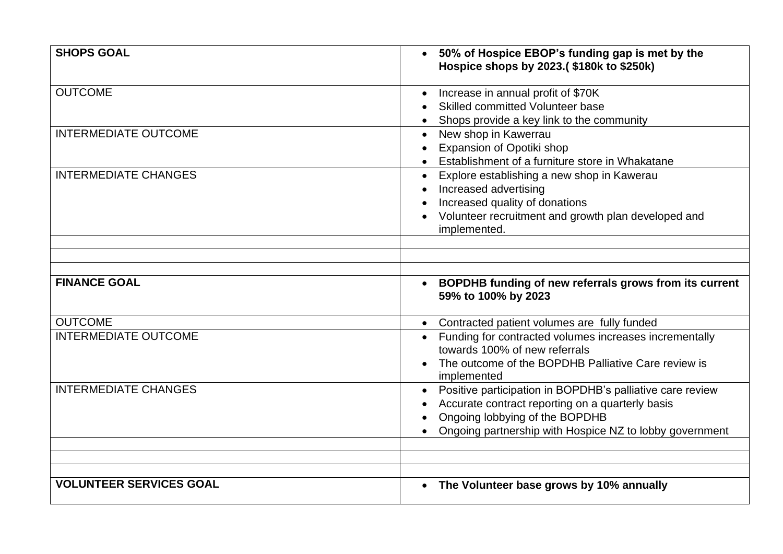| <b>SHOPS GOAL</b>              | 50% of Hospice EBOP's funding gap is met by the<br>$\bullet$<br>Hospice shops by 2023.(\$180k to \$250k)                                                                                                   |
|--------------------------------|------------------------------------------------------------------------------------------------------------------------------------------------------------------------------------------------------------|
| <b>OUTCOME</b>                 | Increase in annual profit of \$70K<br>Skilled committed Volunteer base<br>Shops provide a key link to the community                                                                                        |
| <b>INTERMEDIATE OUTCOME</b>    | New shop in Kawerrau<br>$\bullet$<br>Expansion of Opotiki shop<br>Establishment of a furniture store in Whakatane                                                                                          |
| <b>INTERMEDIATE CHANGES</b>    | Explore establishing a new shop in Kawerau<br>Increased advertising<br>Increased quality of donations<br>Volunteer recruitment and growth plan developed and<br>implemented.                               |
|                                |                                                                                                                                                                                                            |
|                                |                                                                                                                                                                                                            |
| <b>FINANCE GOAL</b>            | BOPDHB funding of new referrals grows from its current<br>59% to 100% by 2023                                                                                                                              |
| <b>OUTCOME</b>                 | Contracted patient volumes are fully funded<br>$\bullet$                                                                                                                                                   |
| <b>INTERMEDIATE OUTCOME</b>    | Funding for contracted volumes increases incrementally<br>$\bullet$<br>towards 100% of new referrals<br>The outcome of the BOPDHB Palliative Care review is<br>implemented                                 |
| <b>INTERMEDIATE CHANGES</b>    | Positive participation in BOPDHB's palliative care review<br>Accurate contract reporting on a quarterly basis<br>Ongoing lobbying of the BOPDHB<br>Ongoing partnership with Hospice NZ to lobby government |
|                                |                                                                                                                                                                                                            |
|                                |                                                                                                                                                                                                            |
| <b>VOLUNTEER SERVICES GOAL</b> | The Volunteer base grows by 10% annually                                                                                                                                                                   |